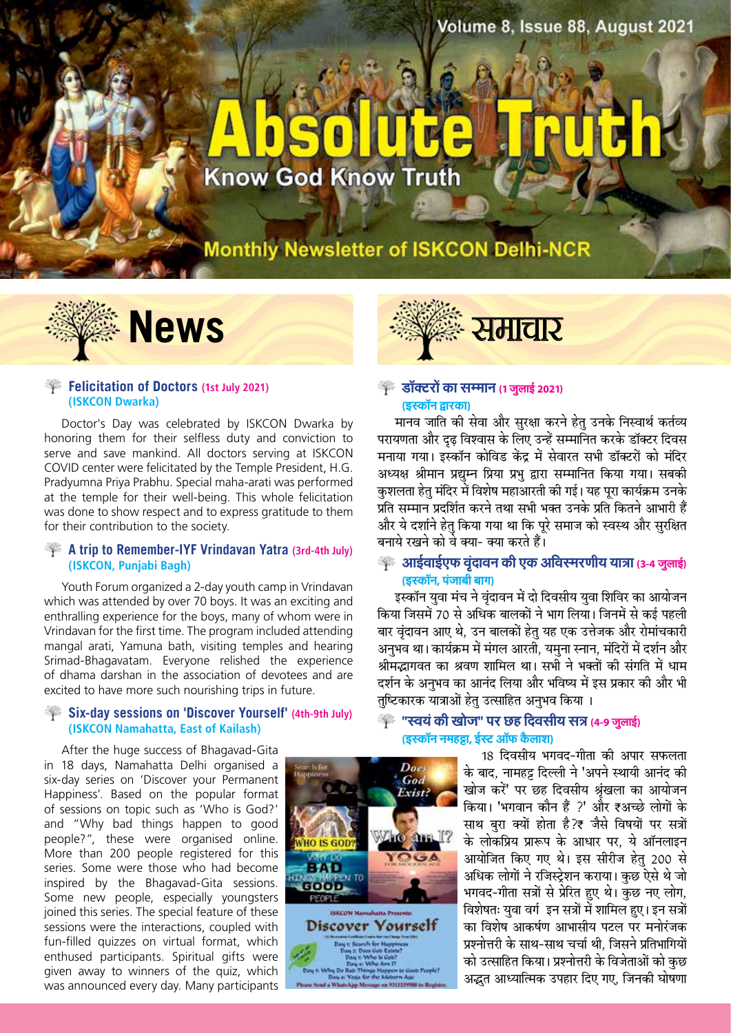**Volume 8, Issue 88, August 2021** 

# **Know God Know Truth**

## **Monthly Newsletter of ISKCON Delhi-NCR**



#### **Felicitation of Doctors (1st July 2021) (ISKCON Dwarka)**

Doctor's Day was celebrated by ISKCON Dwarka by honoring them for their selfless duty and conviction to serve and save mankind. All doctors serving at ISKCON COVID center were felicitated by the Temple President, H.G. Pradyumna Priya Prabhu. Special maha-arati was performed at the temple for their well-being. This whole felicitation was done to show respect and to express gratitude to them for their contribution to the society.

#### **A trip to Remember-IYF Vrindavan Yatra (3rd-4th July) (ISKCON, Punjabi Bagh)**

Youth Forum organized a 2-day youth camp in Vrindavan which was attended by over 70 boys. It was an exciting and enthralling experience for the boys, many of whom were in Vrindavan for the first time. The program included attending mangal arati, Yamuna bath, visiting temples and hearing Srimad-Bhagavatam. Everyone relished the experience of dhama darshan in the association of devotees and are excited to have more such nourishing trips in future.

#### **Six-day sessions on 'Discover Yourself' (4th-9th July) (ISKCON Namahatta, East of Kailash)**

After the huge success of Bhagavad-Gita in 18 days, Namahatta Delhi organised a six-day series on 'Discover your Permanent Happiness'. Based on the popular format of sessions on topic such as 'Who is God?' and "Why bad things happen to good people?", these were organised online. More than 200 people registered for this series. Some were those who had become inspired by the Bhagavad-Gita sessions. Some new people, especially youngsters joined this series. The special feature of these sessions were the interactions, coupled with fun-filled quizzes on virtual format, which enthused participants. Spiritual gifts were given away to winners of the quiz, which was announced every day. Many participants



#### डॉक्टरों का सम्मान (1 जुलाई 2021) (इस्कॉन द्वारका)

मानव जाति की सेवा और सुरक्षा करने हेतु उनके निस्वार्थ कर्तव्य परायणता और दृढ़ विश्वास के लिए उन्हें सम्मानित करके डॉक्टर दिवस मनाया गया। इस्कॉन कोविड केंद्र में सेवारत सभी डॉक्टरों को मंदिर अध्यक्ष श्रीमान प्रद्युम्न प्रिया प्रभु द्वारा सम्मानित किया गया। सबकी कुशलता हेतु मंदिर में विशेष महाआरती की गई। यह पूरा कार्यक्रम उनके प्रति सम्मान प्रदर्शित करने तथा सभी भक्त उनके प्रति कितने आभारी हैं और ये दर्शाने हेतु किया गया था कि पूरे समाज को स्वस्थ और सुरक्षित बनाये रखने को वे क्या- क्या करते हैं।

#### आईवाईएफ वृंदावन की एक अविस्मरणीय यात्रा (3-4 जुलाई) (इस्कॉन, पंजाबी बाग)

इस्कॉन युवा मंच ने वृंदावन में दो दिवसीय युवा शिविर का आयोजन किया जिसमें 70 से अधिक बालकों ने भाग लिया। जिनमें से कई पहली बार वृंदावन आए थे, उन बालकों हेतु यह एक उत्तेजक और रोमांचकारी अनुभव था। कार्यक्रम में मंगल आरती, यमुना स्नान, मंदिरों में दर्शन और श्रीमद्भागवत का श्रवण शामिल था। सभी ने भक्तों की संगति में धाम दर्शन के अनुभव का आनंद लिया और भविष्य में इस प्रकार की और भी तुष्टिकारक यात्राओं हेतु उत्साहित अनुभव किया ।

#### "स्वयंकी खोज" पर छह दिवसीय सत्र (4-9 जुलाई) (इस्कॉन नमहट्टा, ईस्ट ऑफ कैलाश)

18 दिवसीय भगवद-गीता की अपार सफलता के बाद, नामहट्ट दिल्ली ने 'अपने स्थायी आनंद की खोज करें' पर छह दिवसीय श्रृंखला का आयोजन किया। 'भगवान कौन हैं ?' और रुअच्छे लोगों के साथ बुरा क्यों होता है?<del>र</del> जैसे विषयों पर सत्रों के लोकप्रिय प्रारूप के आधार पर, ये ऑनलाइन आयोजित किए गए थे। इस सीरीज हेतु 200 से अधिक लोगों ने रजिस्ट्रेशन कराया। कुछ ऐसे थे जो भगवद-गीता सत्रों से प्रेरित हुए थे। कुछ नए लोग, विशेषतः युवा वर्ग इन सत्रों में शामिल हुए। इन सत्रों का विशेष आकर्षण आभासीय पटल पर मनोरंजक प्रश्नोत्तरी के साथ-साथ चर्चाथी, जिसने प्रतिभागियों को उत्साहित किया। प्रश्नोत्तरी के विजेताओं को कुछ अद्भुत आध्यात्मिक उपहार दिए गए, जिनकी घोषणा

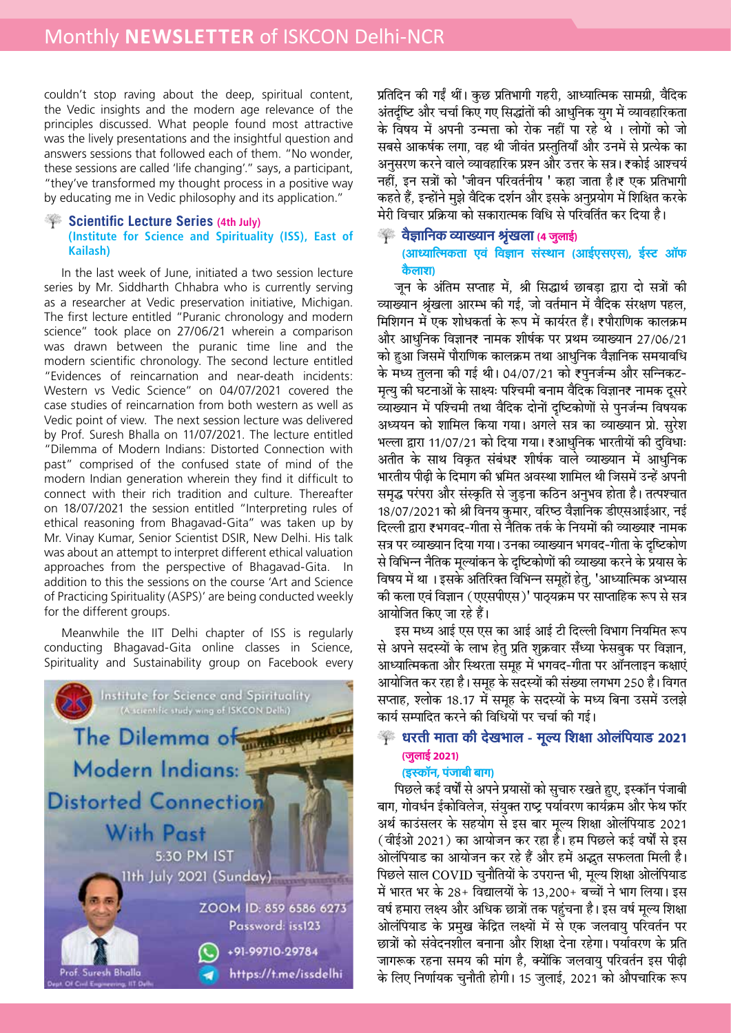couldn't stop raving about the deep, spiritual content, the Vedic insights and the modern age relevance of the principles discussed. What people found most attractive was the lively presentations and the insightful question and answers sessions that followed each of them. "No wonder, these sessions are called 'life changing'." says, a participant, "they've transformed my thought process in a positive way by educating me in Vedic philosophy and its application."

#### **Scientific Lecture Series (4th July) (Institute for Science and Spirituality (ISS), East of Kailash)**

In the last week of June, initiated a two session lecture series by Mr. Siddharth Chhabra who is currently serving as a researcher at Vedic preservation initiative, Michigan. The first lecture entitled "Puranic chronology and modern science" took place on 27/06/21 wherein a comparison was drawn between the puranic time line and the modern scientific chronology. The second lecture entitled "Evidences of reincarnation and near-death incidents: Western vs Vedic Science" on 04/07/2021 covered the case studies of reincarnation from both western as well as Vedic point of view. The next session lecture was delivered by Prof. Suresh Bhalla on 11/07/2021. The lecture entitled "Dilemma of Modern Indians: Distorted Connection with past" comprised of the confused state of mind of the modern Indian generation wherein they find it difficult to connect with their rich tradition and culture. Thereafter on 18/07/2021 the session entitled "Interpreting rules of ethical reasoning from Bhagavad-Gita" was taken up by Mr. Vinay Kumar, Senior Scientist DSIR, New Delhi. His talk was about an attempt to interpret different ethical valuation approaches from the perspective of Bhagavad-Gita. In addition to this the sessions on the course 'Art and Science of Practicing Spirituality (ASPS)' are being conducted weekly for the different groups.

Meanwhile the IIT Delhi chapter of ISS is regularly conducting Bhagavad-Gita online classes in Science, Spirituality and Sustainability group on Facebook every



प्रतिदिन की गईं थीं। कुछ प्रतिभागी गहरी, आध्यात्मिक सामग्री, वैदिक अंतर्दृष्टि और चर्चाकिए गए सिद्धांतों की आधुनिक युग में व्यावहारिकता के विषय में अपनी उन्मत्ता को रोक नहीं पा रहे थे । लोगों को जो सबसे आकर्षक लगा, वह थी जीवंत प्रस्तुतियाँ और उनमें से प्रत्येक का अनसरण करने वाले व्यावहारिक प्रश्न और उत्तर के सत्र। ₹कोई आश्चर्य नहीं, इन सत्रों को 'जीवन परिवर्तनीय ' कहा जाता है।ह एक प्रतिभागी कहते हैं, इन्होंने मुझे वैदिक दर्शन और इसके अनुप्रयोग में शिक्षित करके मेरी विचार प्रक्रिया को सकारात्मक विधि से परिवर्तित कर दिया है।

#### वैज्ञानिक व्याख्यान श्रृंखला (4 जुलाई) (आध्यात्मिकता एवं विज्ञान संस्थान (आईएसएस), ईस्ट ऑफ कैलाश)

जून के अंतिम सप्ताह में, श्री सिद्धार्थ छाबड़ा द्वारा दो सत्रों की व्याख्यान श्रृंखला आरम्भ की गई, जो वर्तमान में वैदिक संरक्षण पहल, मिशिगन में एक शोधकर्ता के रूप में कार्यरत हैं। ₹पौराणिक कालक्रम और आधनिक विज्ञान<del>र</del> नामक शीर्षक पर प्रथम व्याख्यान 27/06/21 को हुआ जिसमें पौराणिक कालक्रम तथा आधुनिक वैज्ञानिक समयावधि के मध्य तुलना की गई थी। 04/07/21 को रूपुनर्जन्म और सन्निकट-मृत्यु की घटनाओं के साक्ष्यः पश्चिमी बनाम वैदिक विज्ञान₹ नामक दूसरे व्याख्यान में पश्चिमी तथा वैदिक दोनों दृष्टिकोणों से पुनर्जन्म विषयक अध्ययन को शामिल किया गया। अगले सत्र का व्याख्यान प्रो. सुरेश भल्ला द्वारा 11/07/21 को दिया गया। ₹आधुनिक भारतीयों की दुविधाः अतीत के साथ विकृत संबंध₹ शीर्षक वाले व्याख्यान में आधुनिक भारतीय पीढ़ी के दिमाग की भ्रमित अवस्था शामिल थी जिसमें उन्हें अपनी समृद्ध परंपरा और संस्कृति से जुड़ना कठिन अनुभव होता है। तत्पश्चात 18/07/2021 को श्री विनय कुमार, वरिष्ठ वैज्ञानिक डीएसआईआर, नई दिल्ली द्वारा ₹भगवद-गीता से नैतिक तर्क के नियमों की व्याख्या₹ नामक सत्र पर व्याख्यान दिया गया। उनका व्याख्यान भगवद-गीता के दृष्टिकोण से विभिन्न नैतिक मूल्यांकन के दृष्टिकोणों की व्याख्या करने के प्रयास के विषय में था । इसके अतिरिक्त विभिन्न समूहों हेतु, 'आध्यात्मिक अभ्यास की कला एवं विज्ञान (एएसपीएस)' पाठ्यक्रम पर साप्ताहिक रूप से सत्र आयोजित किए जा रहे हैं।

इस मध्य आई एस एस का आई आई टी दिल्ली विभाग नियमित रूप से अपने सदस्यों के लाभ हेतु प्रति शुक्रवार सँध्या फेसबुक पर विज्ञान, आध्यात्मिकता और स्थिरता समूह में भगवद-गीता पर ऑनलाइन कक्षाएं आयोजित कर रहा है। समूह के सदस्यों की संख्या लगभग 250 है। विगत सप्ताह, श्लोक 18.17 में समूह के सदस्यों के मध्य बिना उसमें उलझे कार्य सम्पादित करने की विधियों पर चर्चा की गई।

#### धरती माता की देखभाल - मूल्य शिक्षा ओलंपियाड 2021 (जुलाई 2021) (इस्कॉन, पंजाबी बाग)

पिछले कई वर्षों से अपने प्रयासों को सुचारु रखते हुए, इस्कॉन पंजाबी बाग, गोवर्धन ईकोविलेज, संयुक्त राष्ट्र पर्यावरण कार्यक्रम और फेथ फॉर अर्थ काउंसलर के सहयोग से इस बार मूल्य शिक्षा ओलंपियाड 2021 (वीईओ 2021) का आयोजन कर रहा है। हम पिछले कई वर्षों से इस ओलंपियाड का आयोजन कर रहे हैं और हमें अद्धुत सफलता मिली है। पिछले साल COVID चुनौतियों के उपरान्त भी, मूल्य शिक्षा ओलंपियाड में भारत भर के 28+ विद्यालयों के 13,200+ बच्चों ने भाग लिया। इस वर्ष हमारा लक्ष्य और अधिक छात्रों तक पहुंचना है। इस वर्ष मूल्य शिक्षा ओलंपियाड के प्रमुख केंद्रित लक्ष्यों में से एक जलवायु परिवर्तन पर छात्रों को संवेदनशील बनाना और शिक्षा देना रहेगा। पर्यावरण के प्रति जागरूक रहना समय की मांग है, क्योंकि जलवायु परिवर्तन इस पीढ़ी के लिए निर्णायक चुनौती होगी। 15 जुलाई, 2021 को औपचारिक रूप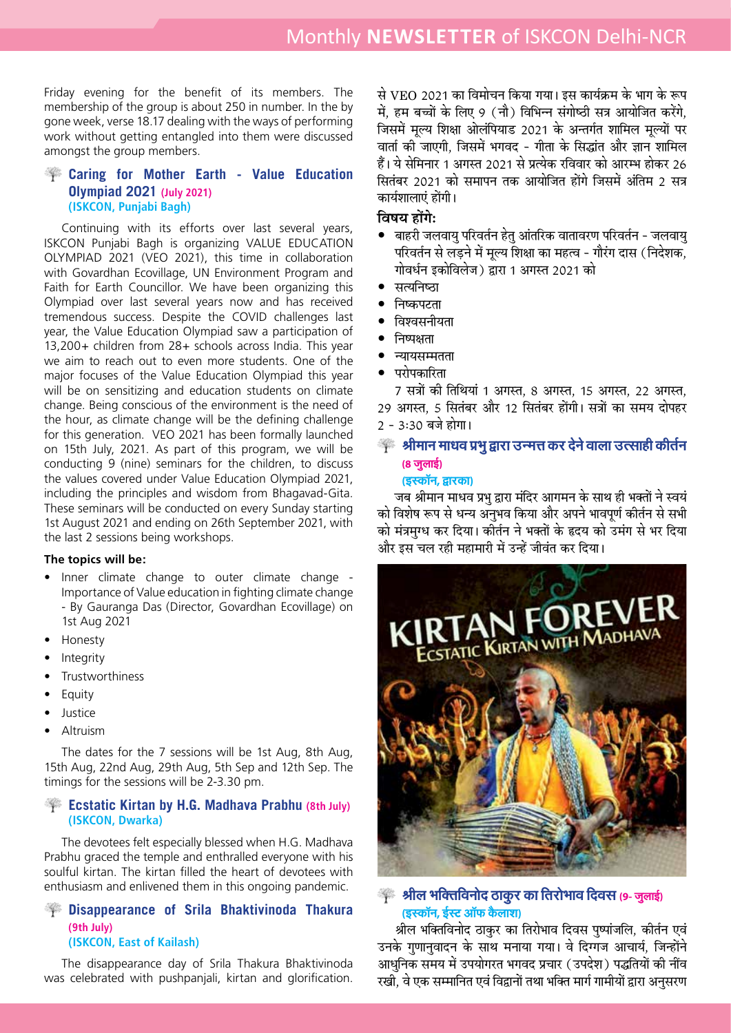Friday evening for the benefit of its members. The membership of the group is about 250 in number. In the by gone week, verse 18.17 dealing with the ways of performing work without getting entangled into them were discussed amongst the group members.

#### **Caring for Mother Earth - Value Education Olympiad 2021 (July 2021) (ISKCON, Punjabi Bagh)**

Continuing with its efforts over last several years, ISKCON Punjabi Bagh is organizing VALUE EDUCATION OLYMPIAD 2021 (VEO 2021), this time in collaboration with Govardhan Ecovillage, UN Environment Program and Faith for Earth Councillor. We have been organizing this Olympiad over last several years now and has received tremendous success. Despite the COVID challenges last year, the Value Education Olympiad saw a participation of 13,200+ children from 28+ schools across India. This year we aim to reach out to even more students. One of the major focuses of the Value Education Olympiad this year will be on sensitizing and education students on climate change. Being conscious of the environment is the need of the hour, as climate change will be the defining challenge for this generation. VEO 2021 has been formally launched on 15th July, 2021. As part of this program, we will be conducting 9 (nine) seminars for the children, to discuss the values covered under Value Education Olympiad 2021, including the principles and wisdom from Bhagavad-Gita. These seminars will be conducted on every Sunday starting 1st August 2021 and ending on 26th September 2021, with the last 2 sessions being workshops.

#### **The topics will be:**

- Inner climate change to outer climate change -Importance of Value education in fighting climate change - By Gauranga Das (Director, Govardhan Ecovillage) on 1st Aug 2021
- **Honesty**
- **Integrity**
- **Trustworthiness**
- **Equity**
- **Justice**
- **Altruism**

The dates for the 7 sessions will be 1st Aug, 8th Aug, 15th Aug, 22nd Aug, 29th Aug, 5th Sep and 12th Sep. The timings for the sessions will be 2-3.30 pm.

#### **Ecstatic Kirtan by H.G. Madhava Prabhu (8th July) (ISKCON, Dwarka)**

The devotees felt especially blessed when H.G. Madhava Prabhu graced the temple and enthralled everyone with his soulful kirtan. The kirtan filled the heart of devotees with enthusiasm and enlivened them in this ongoing pandemic.

#### **Disappearance of Srila Bhaktivinoda Thakura (9th July) (ISKCON, East of Kailash)**

The disappearance day of Srila Thakura Bhaktivinoda was celebrated with pushpanjali, kirtan and glorification.

से VEO 2021 का विमोचन किया गया। इस कार्यक्रम के भाग के रूप में, हम बच्चों के लिए 9 (नौ) विभिन्न संगोष्ठी सत्र आयोजित करेंगे, जिसमें मूल्य शिक्षा ओलंपियाड 2021 के अन्तर्गत शामिल मूल्यों पर वार्ता की जाएगी, जिसमें भगवद - गीता के सिद्धांत और ज्ञान शामिल हैं। ये सेमिनार 1 अगस्त 2021 से प्रत्येक रविवार को आरम्भ होकर 26 सितंबर 2021 को समापन तक आयोजित होंगे जिसमें अंतिम 2 सत्र कार्यशालाएं होंगी।

#### **विषय होंगे:**

- • बाहरी जलवायु परिवर्तन हेतु आंतरिक वातावरण परिवर्तन जलवायु परिवर्तन से लड़ने में मूल्य शिक्षा का महत्व - गौरंग दास (निदेशक, गोवर्धन इकोविलेज) द्वारा 1 अगस्त 2021 को
- • सत्यनिष्ठा
- • निष्कपटता
- विश्वसनीयत<u>ा</u>
- • निष्पक्षता
- • न्यायसम्मतता
- • परोपकारिता

7 सत्रों की तिथियां 1 अगस्त, 8 अगस्त, 15 अगस्त, 22 अगस्त, 29 अगस्त, 5 सितंबर और 12 सितंबर होंगी। सत्रों का समय दोपहर 2 - 3:30 बजे होगा।

#### श्रीमान माधव प्रभुद्वारा उन्मत्तकर देनेवाला उत्साहीकीर्तन (8 जुलाई)

#### (इस्कॉन, द्वारका)

जब श्रीमान माधव प्रभु द्वारा मंदिर आगमन के साथ ही भक्तों ने स्वयं को विशेष रूप से धन्य अनुभव किया और अपने भावपूर्ण कीर्तन से सभी को मंत्रमुग्ध कर दिया। कीर्तन ने भक्तों के हृदय को उमंग से भर दिया और इस चल रही महामारी में उन्हें जीवंत कर दिया।



#### श्रील भक्तिविनोद ठाकुर का तिरोभाव दिवस (9- जुलाई) (इस्कॉन, ईस्ट ऑफ कैलाश)

श्रील भक्तिविनोद ठाकुर का तिरोभाव दिवस पुष्पांजलि, कीर्तन एवं उनके गुणानुवादन के साथ मनाया गया। वे दिग्गज आचार्य, जिन्होंने आधुनिक समय में उपयोगरत भगवद प्रचार (उपदेश) पद्धतियों की नींव रखी, वे एक सम्मानित एवं विद्वानों तथा भक्ति मार्ग गामीयों द्वारा अनुसरण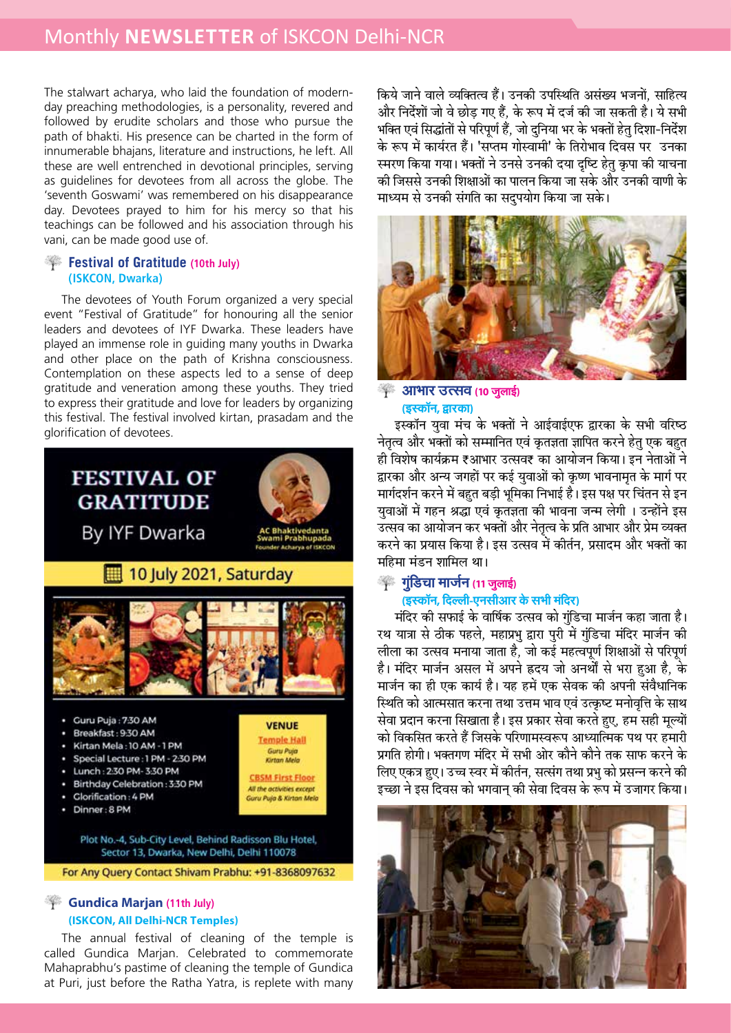### Monthly **Newsletter** of ISKCON Delhi-NCR

The stalwart acharya, who laid the foundation of modernday preaching methodologies, is a personality, revered and followed by erudite scholars and those who pursue the path of bhakti. His presence can be charted in the form of innumerable bhajans, literature and instructions, he left. All these are well entrenched in devotional principles, serving as guidelines for devotees from all across the globe. The 'seventh Goswami' was remembered on his disappearance day. Devotees prayed to him for his mercy so that his teachings can be followed and his association through his vani, can be made good use of.

#### **Festival of Gratitude** (10th July) **(ISKCON, Dwarka)**

The devotees of Youth Forum organized a very special event "Festival of Gratitude" for honouring all the senior leaders and devotees of IYF Dwarka. These leaders have played an immense role in guiding many youths in Dwarka and other place on the path of Krishna consciousness. Contemplation on these aspects led to a sense of deep gratitude and veneration among these youths. They tried to express their gratitude and love for leaders by organizing this festival. The festival involved kirtan, prasadam and the glorification of devotees.



#### Gundica Marjan **(11th July)** (ISKCON, All Delhi-NCR Temples)

The annual festival of cleaning of the temple is called Gundica Marjan. Celebrated to commemorate Mahaprabhu's pastime of cleaning the temple of Gundica at Puri, just before the Ratha Yatra, is replete with many

किये जाने वाले व्यक्तित्व हैं। उनकी उपस्थिति असंख्य भजनों, साहित्य और निर्देशों जो वे छोड़ गए हैं, के रूप में दर्ज की जा सकती है। ये सभी भक्ति एवं सिद्धांतों से परिपूर्ण हैं, जो दुनिया भर के भक्तों हेतु दिशा-निर्देश के रूप में कार्यरत हैं। 'सप्तम गोस्वामी' के तिरोभाव दिवस पर उनका स्मरण किया गया। भक्तों ने उनसे उनकी दया दृष्टि हेतु कृपा की याचना की जिससे उनकी शिक्षाओं का पालन किया जा सके और उनकी वाणी के माध्यम से उनकी संगति का सदुपयोग किया जा सके।



#### आभार उत्सव (10 जुलाई) (इस्कॉन, द्वारका)

इस्कॉन युवा मंच के भक्तों ने आईवाईएफ द्वारका के सभी वरिष्ठ नेतृत्व और भक्तों को सम्मानित एवं कृतज्ञता ज्ञापित करने हेतु एक बहुत ही विशेष कार्यक्रम रुआभार उत्सवर का आयोजन किया। इन नेताओं ने द्वारका और अन्य जगहों पर कई युवाओं को कृष्ण भावनामृत के मार्ग पर मार्गदर्शन करने में बहुत बड़ी भूमिका निभाई है। इस पक्ष पर चिंतन से इन युवाओं में गहन श्रद्धा एवं कृतज्ञता की भावना जन्म लेगी । उन्होंने इस उत्सव का आयोजन कर भक्तों और नेतृत्व के प्रति आभार और प्रेम व्यक्त करने का प्रयास किया है। इस उत्सव में कीर्तन, प्रसादम और भक्तों का महिमा मंडन शामिल था।

#### गुंडिचा मार्जन (11 जुलाई) (इस्कॉन, दिल्ली-एनसीआर केसभी मंदिर)

मंदिर की सफाई के वार्षिक उत्सव को गुंडिचा मार्जन कहा जाता है। रथ यात्रा से ठीक पहले, महाप्रभु द्वारा पुरी में गुंडिचा मंदिर मार्जन की लीला का उत्सव मनाया जाता है, जो कई महत्वपूर्ण शिक्षाओं से परिपूर्ण है। मंदिर मार्जन असल में अपने ह्रदय जो अनर्थों से भरा हुआ है, के मार्जन का ही एक कार्य है। यह हमें एक सेवक की अपनी संवैधानिक स्थिति को आत्मसात करना तथा उत्तम भाव एवं उत्कृष्ट मनोवृत्ति के साथ सेवा प्रदान करना सिखाता है। इस प्रकार सेवा करते हुए, हम सही मूल्यों को विकसित करते हैं जिसके परिणामस्वरूप आध्यात्मिक पथ पर हमारी प्रगति होगी। भक्तगण मंदिर में सभी ओर कौने कौने तक साफ करने के लिए एकत्र हुए। उच्च स्वर में कीर्तन, सत्संग तथा प्रभु को प्रसन्न करने की इच्छा ने इस दिवस को भगवान् की सेवा दिवस के रूप में उजागर किया।

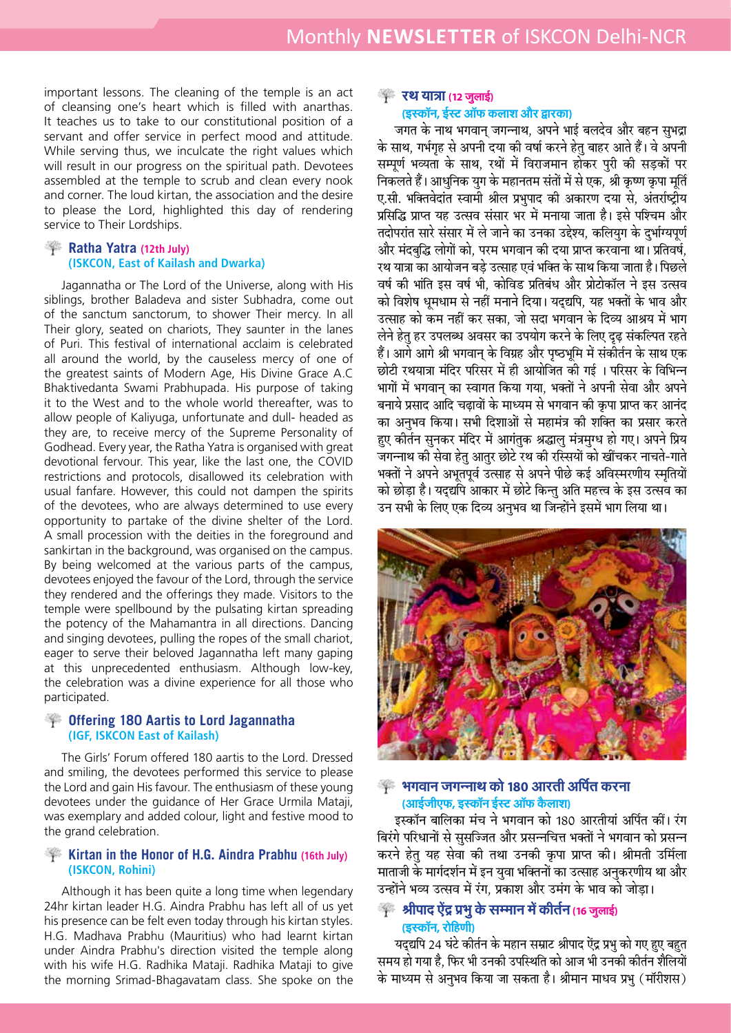important lessons. The cleaning of the temple is an act of cleansing one's heart which is filled with anarthas. It teaches us to take to our constitutional position of a servant and offer service in perfect mood and attitude. While serving thus, we inculcate the right values which will result in our progress on the spiritual path. Devotees assembled at the temple to scrub and clean every nook and corner. The loud kirtan, the association and the desire to please the Lord, highlighted this day of rendering service to Their Lordships.

#### **Ratha Yatra (12th July) (ISKCON, East of Kailash and Dwarka)**

Jagannatha or The Lord of the Universe, along with His siblings, brother Baladeva and sister Subhadra, come out of the sanctum sanctorum, to shower Their mercy. In all Their glory, seated on chariots, They saunter in the lanes of Puri. This festival of international acclaim is celebrated all around the world, by the causeless mercy of one of the greatest saints of Modern Age, His Divine Grace A.C Bhaktivedanta Swami Prabhupada. His purpose of taking it to the West and to the whole world thereafter, was to allow people of Kaliyuga, unfortunate and dull- headed as they are, to receive mercy of the Supreme Personality of Godhead. Every year, the Ratha Yatra is organised with great devotional fervour. This year, like the last one, the COVID restrictions and protocols, disallowed its celebration with usual fanfare. However, this could not dampen the spirits of the devotees, who are always determined to use every opportunity to partake of the divine shelter of the Lord. A small procession with the deities in the foreground and sankirtan in the background, was organised on the campus. By being welcomed at the various parts of the campus, devotees enjoyed the favour of the Lord, through the service they rendered and the offerings they made. Visitors to the temple were spellbound by the pulsating kirtan spreading the potency of the Mahamantra in all directions. Dancing and singing devotees, pulling the ropes of the small chariot, eager to serve their beloved Jagannatha left many gaping at this unprecedented enthusiasm. Although low-key, the celebration was a divine experience for all those who participated.

#### **Offering 180 Aartis to Lord Jagannatha (IGF, ISKCON East of Kailash)**

The Girls' Forum offered 180 aartis to the Lord. Dressed and smiling, the devotees performed this service to please the Lord and gain His favour. The enthusiasm of these young devotees under the guidance of Her Grace Urmila Mataji, was exemplary and added colour, light and festive mood to the grand celebration.

#### **Kirtan in the Honor of H.G. Aindra Prabhu (16th July) (ISKCON, Rohini)**

Although it has been quite a long time when legendary 24hr kirtan leader H.G. Aindra Prabhu has left all of us yet his presence can be felt even today through his kirtan styles. H.G. Madhava Prabhu (Mauritius) who had learnt kirtan under Aindra Prabhu's direction visited the temple along with his wife H.G. Radhika Mataji. Radhika Mataji to give the morning Srimad-Bhagavatam class. She spoke on the

#### रथ यात्रा (12 जुलाई) (इस्कॉन, ईस्ट ऑफ कलाश और द्वारका)

जगत के नाथ भगवान् जगन्नाथ, अपने भाई बलदेव और बहन सुभद्रा के साथ, गर्भगृह से अपनी दया की वर्षा करने हेतु बाहर आते हैं। वे अपनी सम्पूर्ण भव्यता के साथ, रथों में विराजमान होकर पुरी की सड़कों पर निकलते हैं। आधुनिक युग के महानतम संतों में से एक, श्री कृष्ण कृपा मूर्ति ए.सी. भक्तिवेदांत स्वामी श्रील प्रभुपाद की अकारण दया से, अंतर्राष्ट्रीय प्रसिद्धि प्राप्त यह उत्सव संसार भर में मनाया जाता है। इसे पश्चिम और तदोपरांत सारे संसार में ले जाने का उनका उद्देश्य, कलियुग के दुर्भाग्यपूर्ण और मंदबुद्धि लोगों को, परम भगवान की दया प्राप्त करवाना था। प्रतिवर्ष, रथ यात्रा का आयोजन बड़े उत्साह एवं भक्ति के साथ किया जाता है। पिछले वर्ष की भांति इस वर्ष भी, कोविड प्रतिबंध और प्रोटोकॉल ने इस उत्सव को विशेष धूमधाम से नहीं मनाने दिया। यद्द्यपि, यह भक्तों के भाव और उत्साह को कम नहीं कर सका, जो सदा भगवान के दिव्य आश्रय में भाग लेने हेतु हर उपलब्ध अवसर का उपयोग करने के लिए दृढ़ संकल्पित रहते हैं। आगे आगे श्री भगवान् के विग्रह और पृष्ठभूमि में संकीर्तन के साथ एक छोटी रथयात्रा मंदिर परिसर में ही आयोजित की गई । परिसर के विभिन्न भागों में भगवान् का स्वागत किया गया, भक्तों ने अपनी सेवा और अपने बनाये प्रसाद आदि चढ़ावों के माध्यम से भगवान की कृपा प्राप्त कर आनंद का अनुभव किया। सभी दिशाओं से महामंत्र की शक्ति का प्रसार करते हुए कीर्तन सुनकर मंदिर में आगंतुक श्रद्धालु मंत्रमुग्ध हो गए। अपने प्रिय जगन्नाथ की सेवा हेतु आतुर छोटे रथ की रस्सियों को खींचकर नाचते-गाते भक्तों ने अपने अभूतपूर्व उत्साह से अपने पीछे कई अविस्मरणीय स्मृतियों को छोड़ा है। यद्द्यपि आकार में छोटेकिन्तु अति महत्त्व के इस उत्सव का उन सभी के लिए एक दिव्य अनुभव था जिन्होंने इसमें भाग लिया था।



#### भगवान जगन्नाथ को 180 आरती अर्पित करना (आईजीएफ, इस्कॉन ईस्ट ऑफ कैलाश)

इस्कॉन बालिका मंच ने भगवान को 180 आरतीयां अर्पित कीं। रंग बिरंगे परिधानों से सुसज्जित और प्रसन्नचित्त भक्तों ने भगवान को प्रसन्न करने हेतु यह सेवा की तथा उनकी कृपा प्राप्त की। श्रीमती उर्मिला माताजी के मार्गदर्शन में इन युवा भक्तिनों का उत्साह अनुकरणीय था और उन्होंने भव्य उत्सव में रंग, प्रकाश और उमंग के भाव को जोड़ा।

#### श्रीपाद ऐंद्र प्रभुकेसम्मान मेंकीर्तन (16 जुलाई) (इस्कॉन,रोहिणी)

यद्द्यपि 24 घंटे कीर्तन के महान सम्राट श्रीपाद ऐंद्र प्रभु को गए हुए बहुत समय हो गया है, फिर भी उनकी उपस्थिति को आज भी उनकी कीर्तन शैलियों के माध्यम से अनभव किया जा सकता है। श्रीमान माधव प्रभ (मॉरीशस)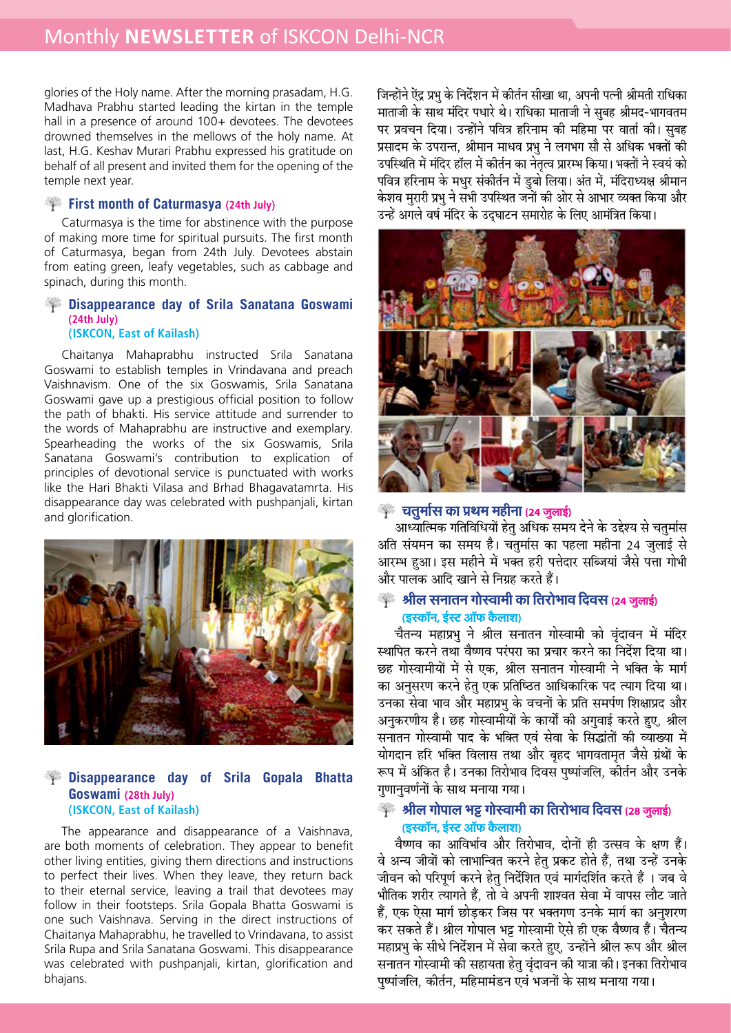glories of the Holy name. After the morning prasadam, H.G. Madhava Prabhu started leading the kirtan in the temple hall in a presence of around 100+ devotees. The devotees drowned themselves in the mellows of the holy name. At last, H.G. Keshav Murari Prabhu expressed his gratitude on behalf of all present and invited them for the opening of the temple next year.

#### **First month of Caturmasya (24th July)**

Caturmasya is the time for abstinence with the purpose of making more time for spiritual pursuits. The first month of Caturmasya, began from 24th July. Devotees abstain from eating green, leafy vegetables, such as cabbage and spinach, during this month.

#### **Disappearance day of Srila Sanatana Goswami (24th July) (ISKCON, East of Kailash)**

Chaitanya Mahaprabhu instructed Srila Sanatana Goswami to establish temples in Vrindavana and preach Vaishnavism. One of the six Goswamis, Srila Sanatana Goswami gave up a prestigious official position to follow the path of bhakti. His service attitude and surrender to the words of Mahaprabhu are instructive and exemplary. Spearheading the works of the six Goswamis, Srila Sanatana Goswami's contribution to explication of principles of devotional service is punctuated with works like the Hari Bhakti Vilasa and Brhad Bhagavatamrta. His disappearance day was celebrated with pushpanjali, kirtan and glorification.



#### **Disappearance day of Srila Gopala Bhatta Goswami (28th July) (ISKCON, East of Kailash)**

The appearance and disappearance of a Vaishnava, are both moments of celebration. They appear to benefit other living entities, giving them directions and instructions to perfect their lives. When they leave, they return back to their eternal service, leaving a trail that devotees may follow in their footsteps. Srila Gopala Bhatta Goswami is one such Vaishnava. Serving in the direct instructions of Chaitanya Mahaprabhu, he travelled to Vrindavana, to assist Srila Rupa and Srila Sanatana Goswami. This disappearance was celebrated with pushpanjali, kirtan, glorification and bhajans.

जिन्होंने ऐंद्र प्रभु के निर्देशन में कीर्तन सीखा था, अपनी पत्नी श्रीमती राधिका माताजी के साथ मंदिर पधारे थे। राधिका माताजी ने सुबह श्रीमद-भागवतम पर प्रवचन दिया। उन्होंने पवित्र हरिनाम की महिमा पर वार्ता की। सुबह प्रसादम के उपरान्त, श्रीमान माधव प्रभु ने लगभग सौ से अधिक भक्तों की उपस्थिति में मंदिर हॉल में कीर्तन का नेतृत्व प्रारम्भ किया। भक्तों ने स्वयं को पवित्र हरिनाम के मधुर संकीर्तन में डुबो लिया। अंत में, मंदिराध्यक्ष श्रीमान केशव मुरारी प्रभु ने सभी उपस्थित जनों की ओर से आभार व्यक्त किया और उन्हें अगले वर्ष मंदिर के उद्घाटन समारोह के लिए आमंत्रित किया।



#### चतुर्मास का प्रथम महीना (24 जुलाई)

आध्यात्मिक गतिविधियों हेतु अधिक समय देने के उद्देश्य से चतुर्मास अति संयमन का समय है। चतुर्मास का पहला महीना 24 जुलाई से आरम्भ हुआ। इस महीने में भक्त हरी पत्तेदार सब्जियां जैसे पत्ता गोभी और पालक आदि खाने से निग्रह करते हैं।

#### श्रील सनातन गोस्वामी का तिरोभाव दिवस (24 जुलाई) (इस्कॉन, ईस्ट ऑफ कैलाश)

चैतन्य महाप्रभु ने श्रील सनातन गोस्वामी को वृंदावन में मंदिर स्थापित करने तथा वैष्णव परंपरा का प्रचार करने का निर्देश दिया था। छह गोस्वामीयों में से एक, श्रील सनातन गोस्वामी ने भक्ति के मार्ग का अनुसरण करने हेतु एक प्रतिष्ठित आधिकारिक पद त्याग दिया था। उनका सेवा भाव और महाप्रभु के वचनों के प्रति समर्पण शिक्षाप्रद और अनकरणीय है। छह गोस्वामीयों के कार्यों की अगवाई करते हुए, श्रील सनातन गोस्वामी पाद के भक्ति एवं सेवा के सिद्धांतों की व्याख्या में योगदान हरि भक्ति विलास तथा और बृहद भागवतामृत जैसे ग्रंथों के रूप में अंकित है। उनका तिरोभाव दिवस पुष्पांजलि, कीर्तन और उनके गुणानुवर्णनों के साथ मनाया गया।

#### श्रील गोपाल भट्ट गोस्वामी का तिरोभाव दिवस (28 जुलाई) (इस्कॉन, ईस्ट ऑफ कैलाश)

वैष्णव का आविर्भाव और तिरोभाव, दोनों ही उत्सव के क्षण हैं। वे अन्य जीवों को लाभान्वित करने हेतु प्रकट होते हैं, तथा उन्हें उनके जीवन को परिपूर्ण करने हेतु निर्देशित एवं मार्गदर्शित करते हैं । जब वे भौतिक शरीर त्यागते हैं, तो वे अपनी शाश्वत सेवा में वापस लौट जाते हैं, एक ऐसा मार्ग छोड़कर जिस पर भक्तगण उनके मार्ग का अनुशरण कर सकते हैं। श्रील गोपाल भट्ट गोस्वामी ऐसे ही एक वैष्णव हैं। चैतन्य महाप्रभु के सीधे निर्देशन में सेवा करते हुए, उन्होंने श्रील रूप और श्रील सनातन गोस्वामी की सहायता हेतु वृंदावन की यात्रा की। इनका तिरोभाव पुष्पांजलि, कीर्तन, महिमामंडन एवं भजनों के साथ मनाया गया।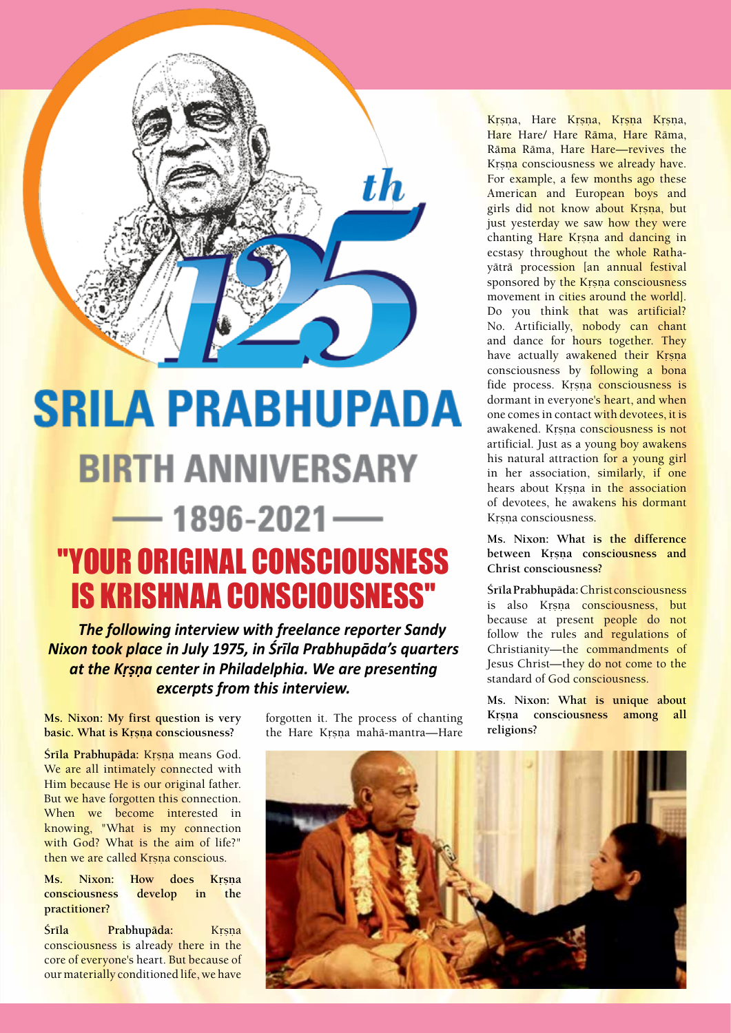

# **SRILA PRABHUPADA BIRTH ANNIVERSARY**  $-$  1896-2021-"Your Original Consciousness Is Krishnaa Consciousness"

*The following interview with freelance reporter Sandy Nixon took place in July 1975, in Śrīla Prabhupāda's quarters at the Kṛṣṇa center in Philadelphia. We are presenting excerpts from this interview.* 

**Ms. Nixon: My first question is very basic. What is Krsna consciousness?** 

Śrīla Prabhupāda: Krsna means God. We are all intimately connected with Him because He is our original father. But we have forgotten this connection. When we become interested in knowing, "What is my connection with God? What is the aim of life?" then we are called Krsna conscious.

**Ms. Nixon: How does Krsna consciousness develop in the practitioner?**

**Śrīla Prabhupāda: Krsna** consciousness is already there in the core of everyone's heart. But because of our materially conditioned life, we have

forgotten it. The process of chanting the Hare Krsna mahā-mantra—Hare

Krsna, Hare Krsna, Krsna Krsna, Hare Hare/ Hare Räma, Hare Räma, Räma Räma, Hare Hare—revives the Krsna consciousness we already have. For example, a few months ago these American and European boys and girls did not know about Krsna, but just yesterday we saw how they were chanting Hare Krsna and dancing in ecstasy throughout the whole Rathayäträ procession [an annual festival sponsored by the Krsna consciousness movement in cities around the world]. Do you think that was artificial? No. Artificially, nobody can chant and dance for hours together. They have actually awakened their Krsna consciousness by following a bona fide process. Krsna consciousness is dormant in everyone's heart, and when one comes in contact with devotees, it is awakened. Krsna consciousness is not artificial. Just as a young boy awakens his natural attraction for a young girl in her association, similarly, if one hears about Krsna in the association of devotees, he awakens his dormant Krsna consciousness.

**Ms. Nixon: What is the difference between Krsna consciousness and Christ consciousness?**

**Çréla Prabhupäda:** Christ consciousness is also Krsna consciousness, but because at present people do not follow the rules and regulations of Christianity—the commandments of Jesus Christ—they do not come to the standard of God consciousness.

**Ms. Nixon: What is unique about**  Krsna consciousness among all **religions?**

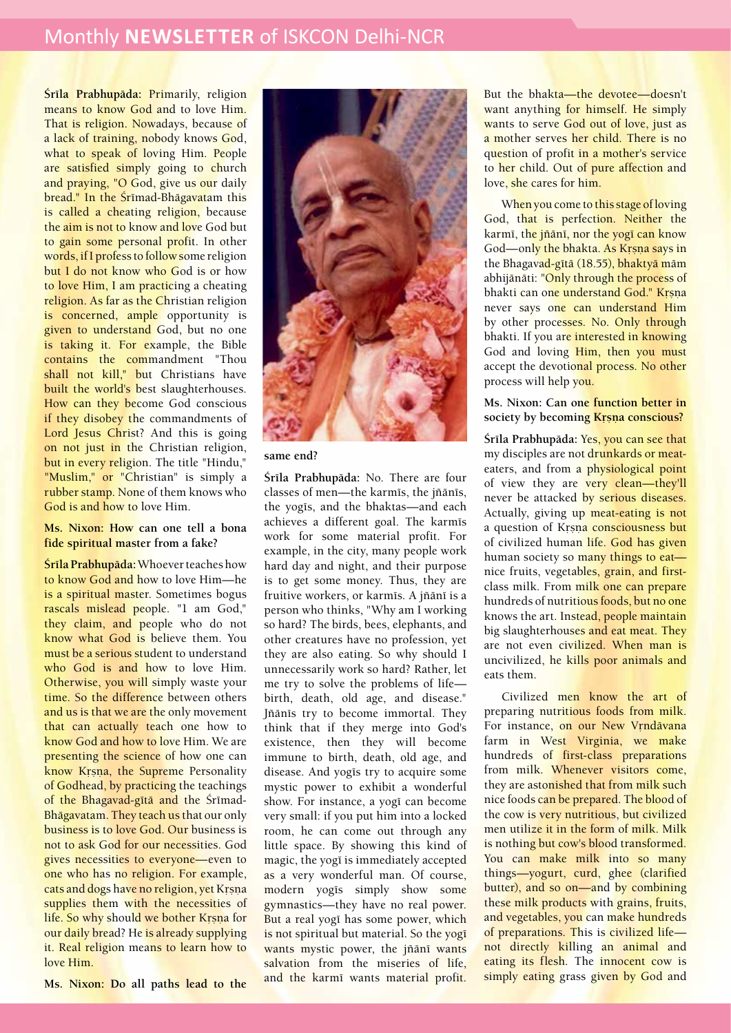**Çréla Prabhupäda:** Primarily, religion means to know God and to love Him. That is religion. Nowadays, because of a lack of training, nobody knows God, what to speak of loving Him. People are satisfied simply going to church and praying, "O God, give us our daily bread." In the Śrīmad-Bhāgavatam this is called a cheating religion, because the aim is not to know and love God but to gain some personal profit. In other words, if I profess to follow some religion but I do not know who God is or how to love Him, I am practicing a cheating religion. As far as the Christian religion is concerned, ample opportunity is given to understand God, but no one is taking it. For example, the Bible contains the commandment "Thou shall not kill," but Christians have built the world's best slaughterhouses. How can they become God conscious if they disobey the commandments of Lord Jesus Christ? And this is going on not just in the Christian religion, but in every religion. The title "Hindu," "Muslim," or "Christian" is simply a rubber stamp. None of them knows who God is and how to love Him.

#### **Ms. Nixon: How can one tell a bona fide spiritual master from a fake?**

**Śrīla Prabhupāda: Whoever teaches how** to know God and how to love Him—he is a spiritual master. Sometimes bogus rascals mislead people. "1 am God," they claim, and people who do not know what God is believe them. You must be a serious student to understand who God is and how to love Him. Otherwise, you will simply waste your time. So the difference between others and us is that we are the only movement that can actually teach one how to know God and how to love Him. We are presenting the science of how one can know Krsna, the Supreme Personality of Godhead, by practicing the teachings of the Bhagavad-gītā and the Śrīmad-Bhägavatam. They teach us that our only business is to love God. Our business is not to ask God for our necessities. God gives necessities to everyone—even to one who has no religion. For example, cats and dogs have no religion, yet Krsna supplies them with the necessities of life. So why should we bother Krsna for our daily bread? He is already supplying it. Real religion means to learn how to love Him.

**Ms. Nixon: Do all paths lead to the** 



#### **same end?**

**Çréla Prabhupäda:** No. There are four classes of men—the karmīs, the jñānīs, the yogis, and the bhaktas—and each achieves a different goal. The karmis work for some material profit. For example, in the city, many people work hard day and night, and their purpose is to get some money. Thus, they are fruitive workers, or karmīs. A jñānī is a person who thinks, "Why am I working so hard? The birds, bees, elephants, and other creatures have no profession, yet they are also eating. So why should I unnecessarily work so hard? Rather, let me try to solve the problems of life birth, death, old age, and disease." Iñānīs try to become immortal. They think that if they merge into God's existence, then they will become immune to birth, death, old age, and disease. And yogis try to acquire some mystic power to exhibit a wonderful show. For instance, a yogi can become very small: if you put him into a locked room, he can come out through any little space. By showing this kind of magic, the yogi is immediately accepted as a very wonderful man. Of course, modern yogis simply show some gymnastics—they have no real power. But a real yogi has some power, which is not spiritual but material. So the yogi wants mystic power, the jñānī wants salvation from the miseries of life, and the karmi wants material profit.

But the bhakta—the devotee—doesn't want anything for himself. He simply wants to serve God out of love, just as a mother serves her child. There is no question of profit in a mother's service to her child. Out of pure affection and love, she cares for him.

When you come to this stage of loving God, that is perfection. Neither the karmī, the jñānī, nor the yogī can know God—only the bhakta. As Krsna says in the Bhagavad-gītā (18.55), bhaktyā mām abhijänäti: "Only through the process of bhakti can one understand God." Krsna never says one can understand Him by other processes. No. Only through bhakti. If you are interested in knowing God and loving Him, then you must accept the devotional process. No other process will help you.

#### **Ms. Nixon: Can one function better in**  society by becoming **Krsna** conscious?

**Çréla Prabhupäda:** Yes, you can see that my disciples are not drunkards or meateaters, and from a physiological point of view they are very clean—they'll never be attacked by serious diseases. Actually, giving up meat-eating is not a question of Krsna consciousness but of civilized human life. God has given human society so many things to eat nice fruits, vegetables, grain, and firstclass milk. From milk one can prepare hundreds of nutritious foods, but no one knows the art. Instead, people maintain big slaughterhouses and eat meat. They are not even civilized. When man is uncivilized, he kills poor animals and eats them.

Civilized men know the art of preparing nutritious foods from milk. For instance, on our New Vrndävana farm in West Virginia, we make hundreds of first-class preparations from milk. Whenever visitors come, they are astonished that from milk such nice foods can be prepared. The blood of the cow is very nutritious, but civilized men utilize it in the form of milk. Milk is nothing but cow's blood transformed. You can make milk into so many things—yogurt, curd, ghee (clarified butter), and so on—and by combining these milk products with grains, fruits, and vegetables, you can make hundreds of preparations. This is civilized life not directly killing an animal and eating its flesh. The innocent cow is simply eating grass given by God and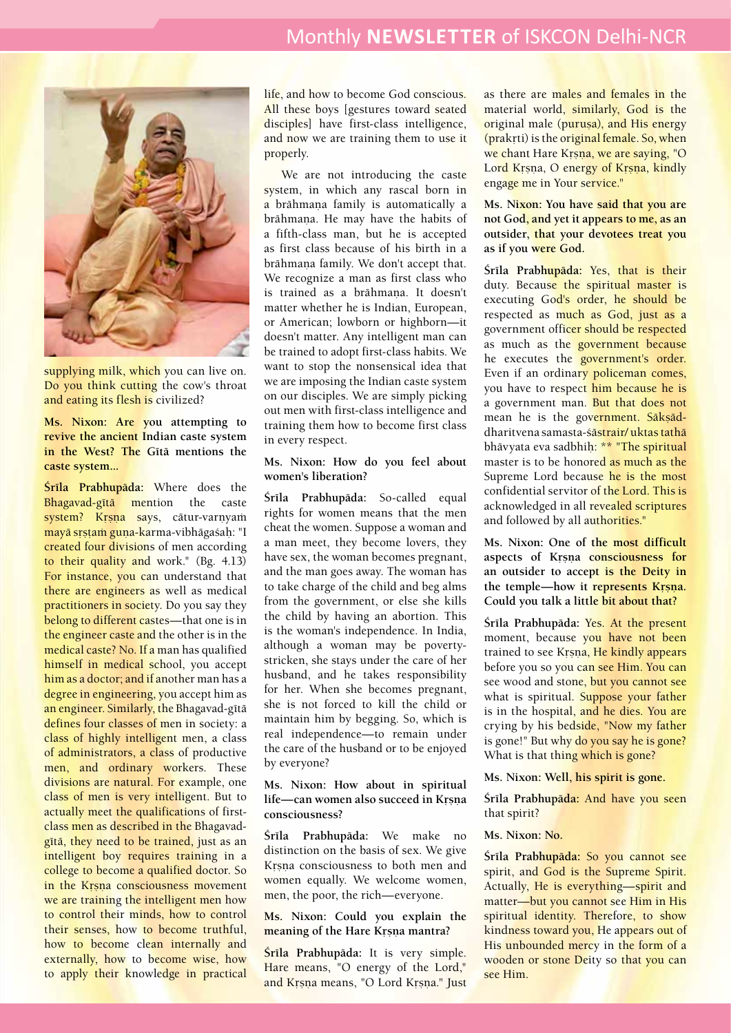

supplying milk, which you can live on. Do you think cutting the cow's throat and eating its flesh is civilized?

**Ms. Nixon: Are you attempting to revive the ancient Indian caste system**  in the West? The Gita mentions the **caste system...**

**Śrīla Prabhupāda:** Where does the Bhagavad-gītā mention the caste system? Krsna says, cātur-varnyam mayā srstam guņa-karma-vibhāgaśaḥ: "I created four divisions of men according to their quality and work." (Bg. 4.13) For instance, you can understand that there are engineers as well as medical practitioners in society. Do you say they belong to different castes—that one is in the engineer caste and the other is in the medical caste? No. If a man has qualified himself in medical school, you accept him as a doctor; and if another man has a degree in engineering, you accept him as an engineer. Similarly, the Bhagavad-gītā defines four classes of men in society: a class of highly intelligent men, a class of administrators, a class of productive men, and ordinary workers. These divisions are natural. For example, one class of men is very intelligent. But to actually meet the qualifications of firstclass men as described in the Bhagavadgītā, they need to be trained, just as an intelligent boy requires training in a college to become a qualified doctor. So in the Krsna consciousness movement we are training the intelligent men how to control their minds, how to control their senses, how to become truthful, how to become clean internally and externally, how to become wise, how to apply their knowledge in practical

life, and how to become God conscious. All these boys [gestures toward seated disciples] have first-class intelligence, and now we are training them to use it properly.

We are not introducing the caste system, in which any rascal born in a brāhmaņa family is automatically a brāhmaņa. He may have the habits of a fifth-class man, but he is accepted as first class because of his birth in a brāhmana family. We don't accept that. We recognize a man as first class who is trained as a brāhmana. It doesn't matter whether he is Indian, European, or American; lowborn or highborn—it doesn't matter. Any intelligent man can be trained to adopt first-class habits. We want to stop the nonsensical idea that we are imposing the Indian caste system on our disciples. We are simply picking out men with first-class intelligence and training them how to become first class in every respect.

#### **Ms. Nixon: How do you feel about women's liberation?**

**Çréla Prabhupäda:** So-called equal rights for women means that the men cheat the women. Suppose a woman and a man meet, they become lovers, they have sex, the woman becomes pregnant, and the man goes away. The woman has to take charge of the child and beg alms from the government, or else she kills the child by having an abortion. This is the woman's independence. In India, although a woman may be povertystricken, she stays under the care of her husband, and he takes responsibility for her. When she becomes pregnant, she is not forced to kill the child or maintain him by begging. So, which is real independence—to remain under the care of the husband or to be enjoyed by everyone?

#### **Ms. Nixon: How about in spiritual**  life—can women also succeed in Krsna **consciousness?**

**Çréla Prabhupäda:** We make no distinction on the basis of sex. We give Krsna consciousness to both men and women equally. We welcome women, men, the poor, the rich—everyone.

**Ms. Nixon: Could you explain the**  meaning of the Hare Krsna mantra?

Srīla Prabhupāda: It is very simple. Hare means, "O energy of the Lord," and Krsna means, "O Lord Krsna." Just as there are males and females in the material world, similarly, God is the original male (purusa), and His energy (prakrti) is the original female. So, when we chant Hare Krsna, we are saying, "O Lord Krsna, O energy of Krsna, kindly engage me in Your service."

#### **Ms. Nixon: You have said that you are not God, and yet it appears to me, as an outsider, that your devotees treat you as if you were God.**

**Çréla Prabhupäda:** Yes, that is their duty. Because the spiritual master is executing God's order, he should be respected as much as God, just as a government officer should be respected as much as the government because he executes the government's order. Even if an ordinary policeman comes, you have to respect him because he is a government man. But that does not mean he is the government. Sāksāddharitvena samasta-çästrair/ uktas tathä bhāvyata eva sadbhih: \*\* "The spiritual master is to be honored as much as the Supreme Lord because he is the most confidential servitor of the Lord. This is acknowledged in all revealed scriptures and followed by all authorities."

**Ms. Nixon: One of the most difficult**  aspects of Krsna consciousness for **an outsider to accept is the Deity in**  the temple—how it represents Krsna. **Could you talk a little bit about that?**

**Çréla Prabhupäda:** Yes. At the present moment, because you have not been trained to see Krsna, He kindly appears before you so you can see Him. You can see wood and stone, but you cannot see what is spiritual. Suppose your father is in the hospital, and he dies. You are crying by his bedside, "Now my father is gone!" But why do you say he is gone? What is that thing which is gone?

**Ms. Nixon: Well, his spirit is gone.**

**Çréla Prabhupäda:** And have you seen that spirit?

#### **Ms. Nixon: No.**

**Çréla Prabhupäda:** So you cannot see spirit, and God is the Supreme Spirit. Actually, He is everything—spirit and matter—but you cannot see Him in His spiritual identity. Therefore, to show kindness toward you, He appears out of His unbounded mercy in the form of a wooden or stone Deity so that you can see Him.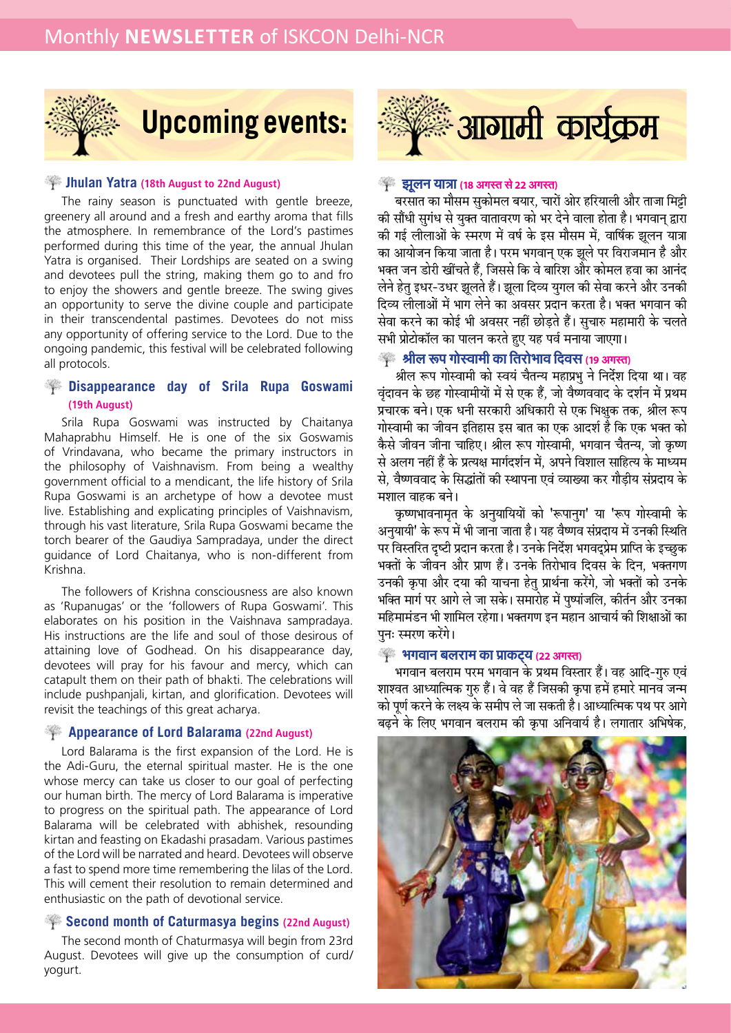

#### **Jhulan Yatra (18th August to 22nd August)**

The rainy season is punctuated with gentle breeze, greenery all around and a fresh and earthy aroma that fills the atmosphere. In remembrance of the Lord's pastimes performed during this time of the year, the annual Jhulan Yatra is organised. Their Lordships are seated on a swing and devotees pull the string, making them go to and fro to enjoy the showers and gentle breeze. The swing gives an opportunity to serve the divine couple and participate in their transcendental pastimes. Devotees do not miss any opportunity of offering service to the Lord. Due to the ongoing pandemic, this festival will be celebrated following all protocols.

#### **Disappearance day of Srila Rupa Goswami (19th August)**

Srila Rupa Goswami was instructed by Chaitanya Mahaprabhu Himself. He is one of the six Goswamis of Vrindavana, who became the primary instructors in the philosophy of Vaishnavism. From being a wealthy government official to a mendicant, the life history of Srila Rupa Goswami is an archetype of how a devotee must live. Establishing and explicating principles of Vaishnavism, through his vast literature, Srila Rupa Goswami became the torch bearer of the Gaudiya Sampradaya, under the direct guidance of Lord Chaitanya, who is non-different from Krishna.

The followers of Krishna consciousness are also known as 'Rupanugas' or the 'followers of Rupa Goswami'. This elaborates on his position in the Vaishnava sampradaya. His instructions are the life and soul of those desirous of attaining love of Godhead. On his disappearance day, devotees will pray for his favour and mercy, which can catapult them on their path of bhakti. The celebrations will include pushpanjali, kirtan, and glorification. Devotees will revisit the teachings of this great acharya.

#### **Appearance of Lord Balarama (22nd August)**

Lord Balarama is the first expansion of the Lord. He is the Adi-Guru, the eternal spiritual master. He is the one whose mercy can take us closer to our goal of perfecting our human birth. The mercy of Lord Balarama is imperative to progress on the spiritual path. The appearance of Lord Balarama will be celebrated with abhishek, resounding kirtan and feasting on Ekadashi prasadam. Various pastimes of the Lord will be narrated and heard. Devotees will observe a fast to spend more time remembering the lilas of the Lord. This will cement their resolution to remain determined and enthusiastic on the path of devotional service.

#### **Second month of Caturmasya begins (22nd August)**

The second month of Chaturmasya will begin from 23rd August. Devotees will give up the consumption of curd/ yogurt.



#### झूलन यात्रा (18 अगस्त से22 अगस्त)

बरसात का मौसम सुकोमल बयार, चारों ओर हरियाली और ताजा मिट्टी की सौंधी सुगंध से युक्त वातावरण को भर देने वाला होता है। भगवान् द्वारा की गई लीलाओं के स्मरण में वर्ष के इस मौसम में, वार्षिक झूलन यात्रा का आयोजन किया जाता है। परम भगवान् एक झूले पर विराजमान है और भक्त जन डोरी खींचते हैं, जिससे कि वे बारिश और कोमल हवा का आनंद लेने हेतु इधर-उधर झूलते हैं। झूला दिव्य युगल की सेवा करने और उनकी दिव्य लीलाओं में भाग लेने का अवसर प्रदान करता है। भक्त भगवान की सेवा करने का कोई भी अवसर नहीं छोड़ते हैं। सुचारु महामारी के चलते सभी प्रोटोकॉल का पालन करते हुए यह पर्व मनाया जाएगा।

#### श्रील रूप गोस्वामी का तिरोभाव दिवस (19 अगस्त)

श्रील रूप गोस्वामी को स्वयं चैतन्य महाप्रभु ने निर्देश दिया था। वह वृंदावन के छह गोस्वामीयों में से एक हैं, जो वैष्णववाद के दर्शन में प्रथम प्रचारक बने। एक धनी सरकारी अधिकारी से एक भिक्षुक तक, श्रील रूप गोस्वामी का जीवन इतिहास इस बात का एक आदर्श है कि एक भक्त को कैसे जीवन जीना चाहिए। श्रील रूप गोस्वामी, भगवान चैतन्य, जो कृष्ण से अलग नहीं हैं के प्रत्यक्ष मार्गदर्शन में, अपने विशाल साहित्य के माध्यम से, वैष्णववाद के सिद्धांतों की स्थापना एवं व्याख्या कर गौड़ीय संप्रदाय के मशाल वाहक बने।

कृष्णभावनामृत के अनुयायियों को 'रूपानुग' या 'रूप गोस्वामी के अनुयायी' के रूप में भी जाना जाता है। यह वैष्णव संप्रदाय में उनकी स्थिति पर विस्तरित दृष्टी प्रदान करता है। उनके निर्देश भगवद्प्रेम प्राप्ति के इच्छुक भक्तों के जीवन और प्राण हैं। उनके तिरोभाव दिवस के दिन, भक्तगण उनकी कृपा और दया की याचना हेतु प्रार्थना करेंगे, जो भक्तों को उनके भक्ति मार्ग पर आगे ले जा सके। समारोह में पुष्पांजलि, कीर्तन और उनका महिमामंडन भी शामिल रहेगा। भक्तगण इन महान आचार्य की शिक्षाओं का पुनः स्मरण करेंगे।

#### भगवान बलराम का प्राकट्य (22 अगस्त)

भगवान बलराम परम भगवान के प्रथम विस्तार हैं। वह आदि-गुरु एवं शाश्वत आध्यात्मिक गुरु हैं। वे वह हैं जिसकी कृपा हमें हमारे मानव जन्म को पूर्ण करने के लक्ष्य के समीप ले जा सकती है। आध्यात्मिक पथ पर आगे बढ़ने के लिए भगवान बलराम की कृपा अनिवार्य है। लगातार अभिषेक,

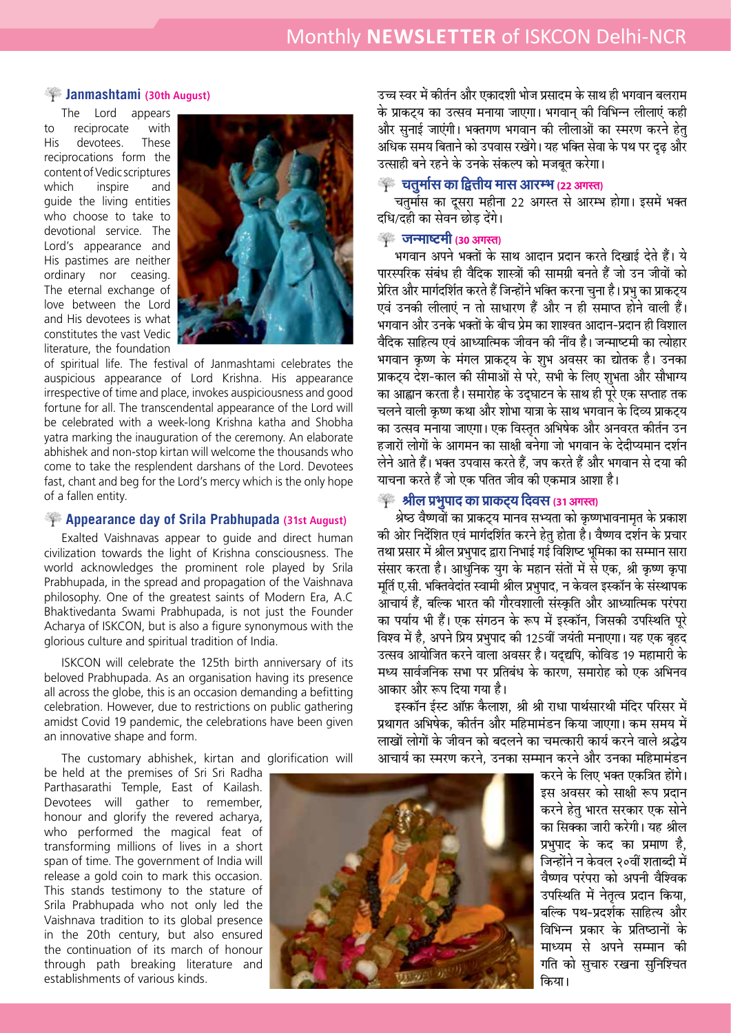#### **Janmashtami (30th August)**

The Lord appears to reciprocate with His devotees. These reciprocations form the content of Vedic scriptures which inspire and guide the living entities who choose to take to devotional service. The Lord's appearance and His pastimes are neither ordinary nor ceasing. The eternal exchange of love between the Lord and His devotees is what constitutes the vast Vedic literature, the foundation



of spiritual life. The festival of Janmashtami celebrates the auspicious appearance of Lord Krishna. His appearance irrespective of time and place, invokes auspiciousness and good fortune for all. The transcendental appearance of the Lord will be celebrated with a week-long Krishna katha and Shobha yatra marking the inauguration of the ceremony. An elaborate abhishek and non-stop kirtan will welcome the thousands who come to take the resplendent darshans of the Lord. Devotees fast, chant and beg for the Lord's mercy which is the only hope of a fallen entity.

#### **Appearance day of Srila Prabhupada (31st August)**

Exalted Vaishnavas appear to guide and direct human civilization towards the light of Krishna consciousness. The world acknowledges the prominent role played by Srila Prabhupada, in the spread and propagation of the Vaishnava philosophy. One of the greatest saints of Modern Era, A.C Bhaktivedanta Swami Prabhupada, is not just the Founder Acharya of ISKCON, but is also a figure synonymous with the glorious culture and spiritual tradition of India.

ISKCON will celebrate the 125th birth anniversary of its beloved Prabhupada. As an organisation having its presence all across the globe, this is an occasion demanding a befitting celebration. However, due to restrictions on public gathering amidst Covid 19 pandemic, the celebrations have been given an innovative shape and form.

The customary abhishek, kirtan and glorification will be held at the premises of Sri Sri Radha Parthasarathi Temple, East of Kailash. Devotees will gather to remember, honour and glorify the revered acharya, who performed the magical feat of transforming millions of lives in a short span of time. The government of India will release a gold coin to mark this occasion. This stands testimony to the stature of Srila Prabhupada who not only led the Vaishnava tradition to its global presence in the 20th century, but also ensured the continuation of its march of honour through path breaking literature and establishments of various kinds.

उच्च स्वर में कीर्तन और एकादशी भोज प्रसादम के साथ ही भगवान बलराम के प्राकट्य का उत्सव मनाया जाएगा। भगवान् की विभिन्न लीलाएं कही और सुनाई जाएंगी। भक्तगण भगवान की लीलाओं का स्मरण करने हेतु अधिक समय बिताने को उपवास रखेंगे। यह भक्ति सेवा के पथ पर दृढ़ और उत्साही बने रहने के उनके संकल्प को मजबूत करेगा।

#### चतुर्मास का द्वित्तीय मास आरम्भ (22 अगस्त)

चतुर्मास का दूसरा महीना 22 अगस्त से आरम्भ होगा। इसमें भक्त दधि/दही का सेवन छोड़ देंगे।

#### जन्माष्टमी (30 अगस्त)

भगवान अपने भक्तों के साथ आदान प्रदान करते दिखाई देते हैं। ये पारस्परिक संबंध ही वैदिक शास्त्रों की सामग्री बनते हैं जो उन जीवों को प्रेरित और मार्गदर्शित करते हैं जिन्होंने भक्ति करना चुना है। प्रभु का प्राकट्य एवं उनकी लीलाएं न तो साधारण हैं और न ही समाप्त होने वाली हैं। भगवान और उनके भक्तों के बीच प्रेम का शाश्वत आदान-प्रदान ही विशाल वैदिक साहित्य एवं आध्यात्मिक जीवन की नींव है। जन्माष्टमी का त्योहार भगवान कृष्ण के मंगल प्राकट्य के शुभ अवसर का द्योतक है। उनका प्राकट्य देश-काल की सीमाओं से परे, सभी के लिए शुभता और सौभाग्य का आह्वान करता है। समारोह के उद्घाटन के साथ ही पूरे एक सप्ताह तक चलने वाली कृष्ण कथा और शोभा यात्रा के साथ भगवान के दिव्य प्राकट्य का उत्सव मनाया जाएगा। एक विस्तृत अभिषेक और अनवरत कीर्तन उन हजारों लोगों के आगमन का साक्षी बनेगा जो भगवान के देदीप्यमान दर्शन लेने आते हैं। भक्त उपवास करते हैं, जप करते हैं और भगवान से दया की याचना करते हैं जो एक पतित जीव की एकमात्र आशा है।

#### श्रील प्रभुपाद का प्राकट्य दिवस (31 अगस्त)

श्रेष्ठ वैष्णवों का प्राकट्य मानव सभ्यता को कृष्णभावनामृत के प्रकाश की ओर निर्देशित एवं मार्गदर्शित करने हेतु होता है। वैष्णव दर्शन के प्रचार तथा प्रसार में श्रील प्रभुपाद द्वारा निभाई गई विशिष्ट भूमिका का सम्मान सारा संसार करता है। आधुनिक युग के महान संतों में से एक, श्री कृष्ण कृपा मूर्ति ए.सी. भक्तिवेदांत स्वामी श्रील प्रभुपाद, न केवल इस्कॉन के संस्थापक आचार्य हैं, बल्कि भारत की गौरवशाली संस्कृति और आध्यात्मिक परंपरा का पर्याय भी हैं। एक संगठन के रूप में इस्कॉन, जिसकी उपस्थिति पूरे विश्व में है, अपने प्रिय प्रभुपाद की 125वीं जयंती मनाएगा। यह एक बृहद उत्सव आयोजित करने वाला अवसर है। यद्द्यपि, कोविड 19 महामारी के मध्य सार्वजनिक सभा पर प्रतिबंध के कारण, समारोह को एक अभिनव आकार और रूप दिया गया है।

इस्कॉन ईस्ट ऑफ़ कैलाश, श्री श्री राधा पार्थसारथी मंदिर परिसर में प्रथागत अभिषेक, कीर्तन और महिमामंडन किया जाएगा। कम समय में लाखों लोगों के जीवन को बदलने का चमत्कारी कार्य करने वाले श्रद्धेय आचार्य का स्मरण करने, उनका सम्मान करने और उनका महिमामंडन



करने के लिए भक्त एकत्रित होंगे। इस अवसर को साक्षी रूप प्रदान करने हेतु भारत सरकार एक सोने का सिक्का जारी करेगी। यह श्रील प्रभुपाद के कद का प्रमाण है, जिन्होंने न केवल २०वीं शताब्दी में वैष्णव परंपरा को अपनी वैश्विक उपस्थिति में नेतृत्व प्रदान किया, बल्कि पथ-प्रदर्शक साहित्य और विभिन्न प्रकार के प्रतिष्ठानों के माध्यम से अपने सम्मान की गति को सुचारु रखना सुनिश्चित किया।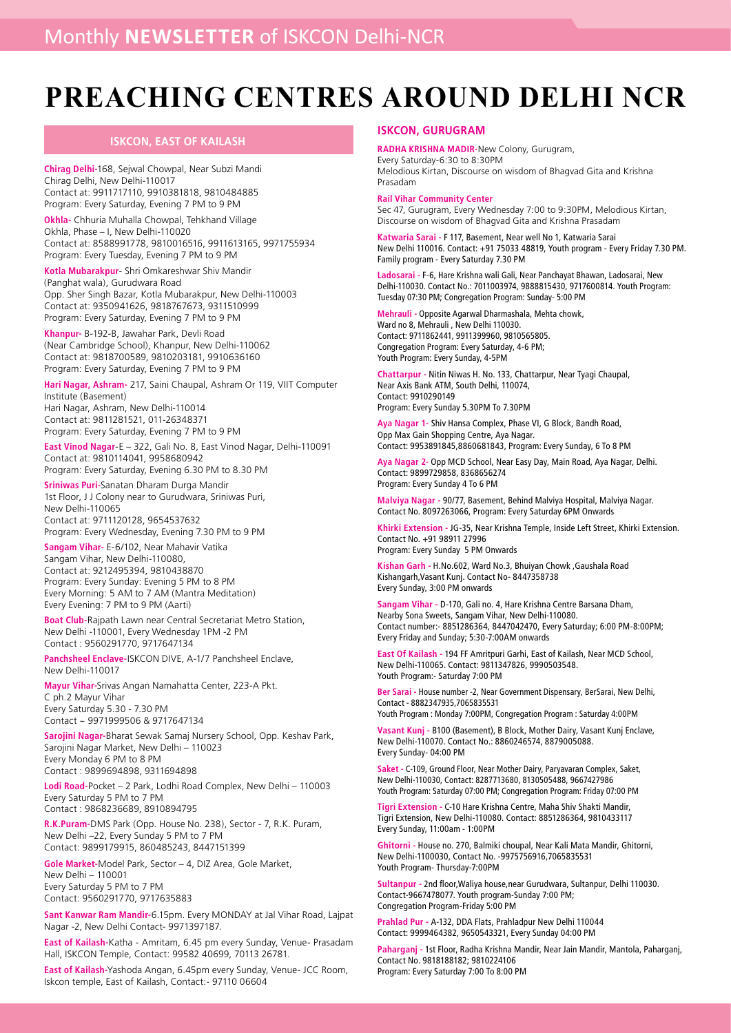# **Preaching centres around DELHI NCR**

#### **ISKCON, eAST OF kAILASH**

**Chirag Delhi-**168, Sejwal Chowpal, Near Subzi Mandi Chirag Delhi, New Delhi-110017 Contact at: 9911717110, 9910381818, 9810484885 Program: Every Saturday, Evening 7 PM to 9 PM

**Okhla-** Chhuria Muhalla Chowpal, Tehkhand Village Okhla, Phase – I, New Delhi-110020 Contact at: 8588991778, 9810016516, 9911613165, 9971755934 Program: Every Tuesday, Evening 7 PM to 9 PM

**Kotla Mubarakpur**- Shri Omkareshwar Shiv Mandir (Panghat wala), Gurudwara Road Opp. Sher Singh Bazar, Kotla Mubarakpur, New Delhi-110003 Contact at: 9350941626, 9818767673, 9311510999 Program: Every Saturday, Evening 7 PM to 9 PM

**Khanpur-** B-192-B, Jawahar Park, Devli Road (Near Cambridge School), Khanpur, New Delhi-110062 Contact at: 9818700589, 9810203181, 9910636160 Program: Every Saturday, Evening 7 PM to 9 PM

**Hari Nagar, Ashram-** 217, Saini Chaupal, Ashram Or 119, VIIT Computer Institute (Basement)

Hari Nagar, Ashram, New Delhi-110014 Contact at: 9811281521, 011-26348371 Program: Every Saturday, Evening 7 PM to 9 PM

**East Vinod Nagar**-E – 322, Gali No. 8, East Vinod Nagar, Delhi-110091 Contact at: 9810114041, 9958680942

Program: Every Saturday, Evening 6.30 PM to 8.30 PM **Sriniwas Puri-**Sanatan Dharam Durga Mandir

1st Floor, J J Colony near to Gurudwara, Sriniwas Puri, New Delhi-110065 Contact at: 9711120128, 9654537632

Program: Every Wednesday, Evening 7.30 PM to 9 PM

**Sangam Vihar-** E-6/102, Near Mahavir Vatika Sangam Vihar, New Delhi-110080, Contact at: 9212495394, 9810438870 Program: Every Sunday: Evening 5 PM to 8 PM Every Morning: 5 AM to 7 AM (Mantra Meditation) Every Evening: 7 PM to 9 PM (Aarti)

**Boat Club-**Rajpath Lawn near Central Secretariat Metro Station, New Delhi -110001, Every Wednesday 1PM -2 PM Contact : 9560291770, 9717647134

**Panchsheel Enclave-**ISKCON DIVE, A-1/7 Panchsheel Enclave, New Delhi-110017

**Mayur Vihar-**Srivas Angan Namahatta Center, 223-A Pkt. C ph.2 Mayur Vihar Every Saturday 5.30 - 7.30 PM

Contact ~ 9971999506 & 9717647134

**Sarojini Nagar-**Bharat Sewak Samaj Nursery School, Opp. Keshav Park, Sarojini Nagar Market, New Delhi – 110023 Every Monday 6 PM to 8 PM Contact : 9899694898, 9311694898

**Lodi Road-**Pocket – 2 Park, Lodhi Road Complex, New Delhi – 110003 Every Saturday 5 PM to 7 PM Contact : 9868236689, 8910894795

**R.K.Puram-**DMS Park (Opp. House No. 238), Sector - 7, R.K. Puram, New Delhi –22, Every Sunday 5 PM to 7 PM Contact: 9899179915, 860485243, 8447151399

**Gole Market-**Model Park, Sector – 4, DIZ Area, Gole Market, New Delhi – 110001 Every Saturday 5 PM to 7 PM Contact: 9560291770, 9717635883

**Sant Kanwar Ram Mandir-**6.15pm. Every MONDAY at Jal Vihar Road, Lajpat Nagar -2, New Delhi Contact- 9971397187.

**East of Kailash-**Katha - Amritam, 6.45 pm every Sunday, Venue- Prasadam Hall, ISKCON Temple, Contact: 99582 40699, 70113 26781.

**East of Kailash-**Yashoda Angan, 6.45pm every Sunday, Venue- JCC Room, Iskcon temple, East of Kailash, Contact:- 97110 06604

#### **ISKCON, GURUGRAM**

**RADHA KRISHNA MADIR-**New Colony, Gurugram, Every Saturday-6:30 to 8:30PM Melodious Kirtan, Discourse on wisdom of Bhagvad Gita and Krishna Prasadam

**Rail Vihar Community Center**

Sec 47, Gurugram, Every Wednesday 7:00 to 9:30PM, Melodious Kirtan, Discourse on wisdom of Bhagvad Gita and Krishna Prasadam

**Katwaria Sarai -** F 117, Basement, Near well No 1, Katwaria Sarai New Delhi 110016. Contact: +91 75033 48819, Youth program - Every Friday 7.30 PM. Family program - Every Saturday 7.30 PM

**Ladosarai -** F-6, Hare Krishna wali Gali, Near Panchayat Bhawan, Ladosarai, New Delhi-110030. Contact No.: 7011003974, 9888815430, 9717600814. Youth Program: Tuesday 07:30 PM; Congregation Program: Sunday- 5:00 PM

**Mehrauli -** Opposite Agarwal Dharmashala, Mehta chowk, Ward no 8, Mehrauli , New Delhi 110030. Contact: 9711862441, 9911399960, 9810565805. Congregation Program: Every Saturday, 4-6 PM; Youth Program: Every Sunday, 4-5PM

**Chattarpur -** Nitin Niwas H. No. 133, Chattarpur, Near Tyagi Chaupal, Near Axis Bank ATM, South Delhi, 110074, Contact: 9910290149 Program: Every Sunday 5.30PM To 7.30PM

**Aya Nagar 1-** Shiv Hansa Complex, Phase VI, G Block, Bandh Road, Opp Max Gain Shopping Centre, Aya Nagar. Contact: 9953891845,8860681843, Program: Every Sunday, 6 To 8 PM

**Aya Nagar 2**- Opp MCD School, Near Easy Day, Main Road, Aya Nagar, Delhi. Contact: 9899729858, 8368656274 Program: Every Sunday 4 To 6 PM

**Malviya Nagar -** 90/77, Basement, Behind Malviya Hospital, Malviya Nagar. Contact No. 8097263066, Program: Every Saturday 6PM Onwards

**Khirki Extension -** JG-35, Near Krishna Temple, Inside Left Street, Khirki Extension. Contact No. +91 98911 27996

Program: Every Sunday 5 PM Onwards **Kishan Garh -** H.No.602, Ward No.3, Bhuiyan Chowk ,Gaushala Road

Kishangarh,Vasant Kunj. Contact No- 8447358738 Every Sunday, 3:00 PM onwards

**Sangam Vihar -** D-170, Gali no. 4, Hare Krishna Centre Barsana Dham, Nearby Sona Sweets, Sangam Vihar, New Delhi-110080. Contact number:- 8851286364, 8447042470, Every Saturday; 6:00 PM-8:00PM; Every Friday and Sunday; 5:30-7:00AM onwards

**East Of Kailash -** 194 FF Amritpuri Garhi, East of Kailash, Near MCD School, New Delhi-110065. Contact: 9811347826, 9990503548. Youth Program:- Saturday 7:00 PM

**Ber Sarai -** House number -2, Near Government Dispensary, BerSarai, New Delhi, Contact - 8882347935,7065835531

Youth Program : Monday 7:00PM, Congregation Program : Saturday 4:00PM

**Vasant Kunj -** B100 (Basement), B Block, Mother Dairy, Vasant Kunj Enclave, New Delhi-110070. Contact No.: 8860246574, 8879005088. Every Sunday- 04:00 PM

**Saket -** C-109, Ground Floor, Near Mother Dairy, Paryavaran Complex, Saket, New Delhi-110030, Contact: 8287713680, 8130505488, 9667427986 Youth Program: Saturday 07:00 PM; Congregation Program: Friday 07:00 PM

**Tigri Extension -** C-10 Hare Krishna Centre, Maha Shiv Shakti Mandir, Tigri Extension, New Delhi-110080. Contact: 8851286364, 9810433117 Every Sunday, 11:00am - 1:00PM

**Ghitorni -** House no. 270, Balmiki choupal, Near Kali Mata Mandir, Ghitorni, New Delhi-1100030, Contact No. -9975756916,7065835531 Youth Program- Thursday-7:00PM

**Sultanpur -** 2nd floor,Waliya house,near Gurudwara, Sultanpur, Delhi 110030. Contact-9667478077. Youth program-Sunday 7:00 PM; Congregation Program-Friday 5:00 PM

**Prahlad Pur -** A-132, DDA Flats, Prahladpur New Delhi 110044 Contact: 9999464382, 9650543321, Every Sunday 04:00 PM

**Paharganj -** 1st Floor, Radha Krishna Mandir, Near Jain Mandir, Mantola, Paharganj, Contact No. 9818188182; 9810224106 Program: Every Saturday 7:00 To 8:00 PM